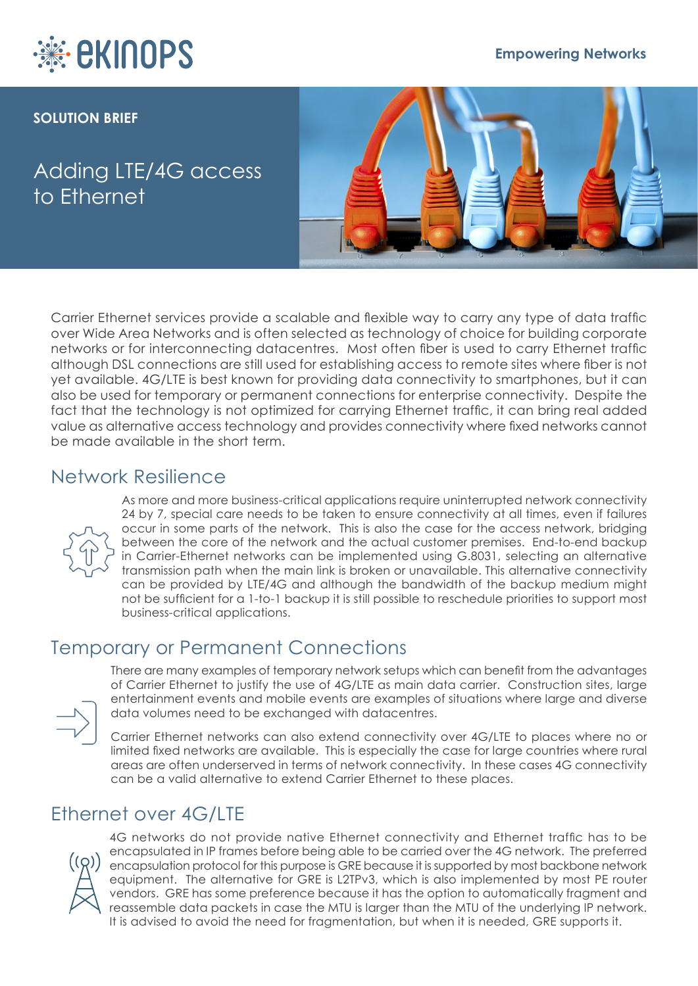

#### **Empowering Networks**

#### **SOLUTION BRIEF**

# Adding LTE/4G access to Ethernet



Carrier Ethernet services provide a scalable and flexible way to carry any type of data traffic over Wide Area Networks and is often selected as technology of choice for building corporate networks or for interconnecting datacentres. Most often fiber is used to carry Ethernet traffic although DSL connections are still used for establishing access to remote sites where fiber is not yet available. 4G/LTE is best known for providing data connectivity to smartphones, but it can also be used for temporary or permanent connections for enterprise connectivity. Despite the fact that the technology is not optimized for carrying Ethernet traffic, it can bring real added value as alternative access technology and provides connectivity where fixed networks cannot be made available in the short term.

### Network Resilience



As more and more business-critical applications require uninterrupted network connectivity 24 by 7, special care needs to be taken to ensure connectivity at all times, even if failures occur in some parts of the network. This is also the case for the access network, bridging between the core of the network and the actual customer premises. End-to-end backup in Carrier-Ethernet networks can be implemented using G.8031, selecting an alternative transmission path when the main link is broken or unavailable. This alternative connectivity can be provided by LTE/4G and although the bandwidth of the backup medium might not be sufficient for a 1-to-1 backup it is still possible to reschedule priorities to support most business-critical applications.

## Temporary or Permanent Connections



There are many examples of temporary network setups which can benefit from the advantages of Carrier Ethernet to justify the use of 4G/LTE as main data carrier. Construction sites, large entertainment events and mobile events are examples of situations where large and diverse data volumes need to be exchanged with datacentres.

Carrier Ethernet networks can also extend connectivity over 4G/LTE to places where no or limited fixed networks are available. This is especially the case for large countries where rural areas are often underserved in terms of network connectivity. In these cases 4G connectivity can be a valid alternative to extend Carrier Ethernet to these places.

### Ethernet over 4G/LTE



4G networks do not provide native Ethernet connectivity and Ethernet traffic has to be encapsulated in IP frames before being able to be carried over the 4G network. The preferred encapsulation protocol for this purpose is GRE because it is supported by most backbone network equipment. The alternative for GRE is L2TPv3, which is also implemented by most PE router vendors. GRE has some preference because it has the option to automatically fragment and reassemble data packets in case the MTU is larger than the MTU of the underlying IP network. It is advised to avoid the need for fragmentation, but when it is needed, GRE supports it.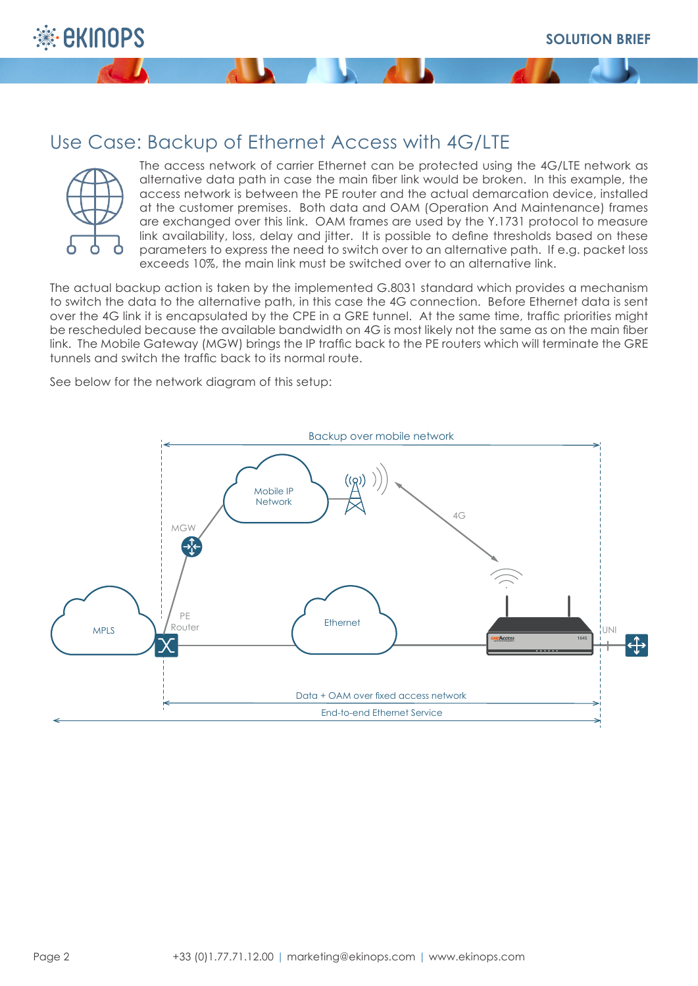

## Use Case: Backup of Ethernet Access with 4G/LTE



The access network of carrier Ethernet can be protected using the 4G/LTE network as alternative data path in case the main fiber link would be broken. In this example, the access network is between the PE router and the actual demarcation device, installed at the customer premises. Both data and OAM (Operation And Maintenance) frames are exchanged over this link. OAM frames are used by the Y.1731 protocol to measure link availability, loss, delay and jitter. It is possible to define thresholds based on these parameters to express the need to switch over to an alternative path. If e.g. packet loss exceeds 10%, the main link must be switched over to an alternative link.

The actual backup action is taken by the implemented G.8031 standard which provides a mechanism to switch the data to the alternative path, in this case the 4G connection. Before Ethernet data is sent over the 4G link it is encapsulated by the CPE in a GRE tunnel. At the same time, traffic priorities might be rescheduled because the available bandwidth on 4G is most likely not the same as on the main fiber link. The Mobile Gateway (MGW) brings the IP traffic back to the PE routers which will terminate the GRE tunnels and switch the traffic back to its normal route.

See below for the network diagram of this setup:

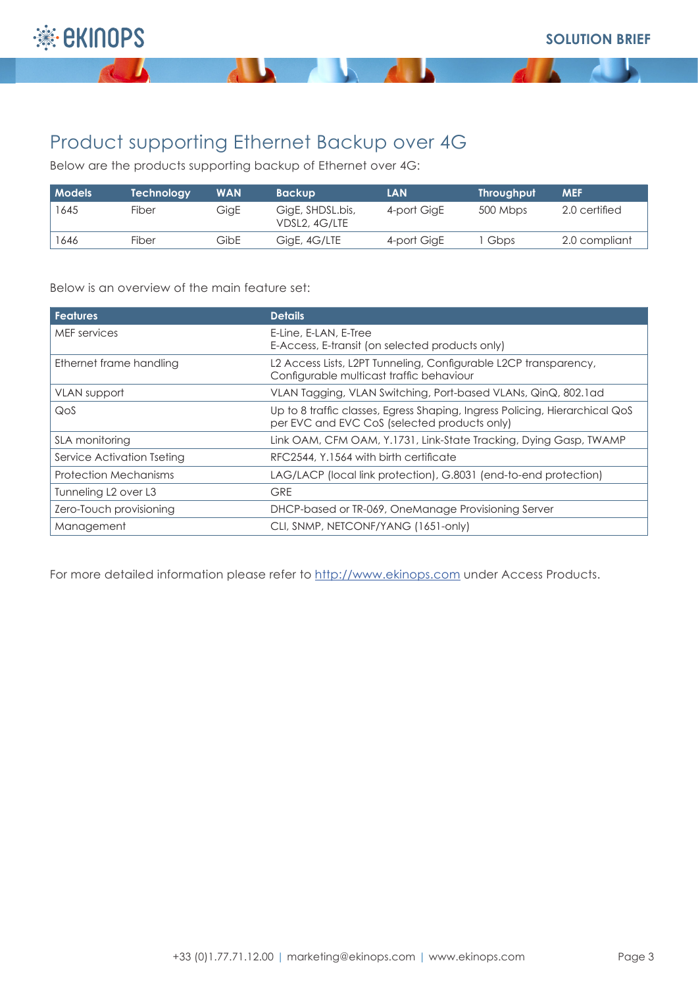

 $\overline{a}$ 

# Product supporting Ethernet Backup over 4G

**ALL** 

Below are the products supporting backup of Ethernet over 4G:

| <b>Models</b> | Technology | <b>WAN</b> | <b>Backup</b>                     | <b>LAN</b>  | <b>Throughput</b> | <b>MEF</b>    |
|---------------|------------|------------|-----------------------------------|-------------|-------------------|---------------|
| 1645          | Fiber      | GigE       | GigE, SHDSL.bis,<br>VDSL2, 4G/LTE | 4-port GigE | 500 Mbps          | 2.0 certified |
| 1646          | Fiber      | GibE       | GigE, 4G/LTE                      | 4-port GigE | Gbps              | 2.0 compliant |

**Samuel Comments** 

Below is an overview of the main feature set:

| <b>Features</b>                              | <b>Details</b>                                                                                                              |  |  |
|----------------------------------------------|-----------------------------------------------------------------------------------------------------------------------------|--|--|
| MEF services                                 | E-Line, E-LAN, E-Tree<br>E-Access, E-transit (on selected products only)                                                    |  |  |
| Ethernet frame handling                      | L2 Access Lists, L2PT Tunneling, Configurable L2CP transparency,<br>Configurable multicast traffic behaviour                |  |  |
| VLAN support                                 | VLAN Tagging, VLAN Switching, Port-based VLANs, QinQ, 802.1 ad                                                              |  |  |
| QoS                                          | Up to 8 traffic classes, Egress Shaping, Ingress Policing, Hierarchical QoS<br>per EVC and EVC CoS (selected products only) |  |  |
| <b>SLA monitoring</b>                        | Link OAM, CFM OAM, Y.1731, Link-State Tracking, Dying Gasp, TWAMP                                                           |  |  |
| Service Activation Tseting                   | RFC2544, Y.1564 with birth certificate                                                                                      |  |  |
| Protection Mechanisms                        | LAG/LACP (local link protection), G.8031 (end-to-end protection)                                                            |  |  |
| Tunneling L <sub>2</sub> over L <sub>3</sub> | <b>GRE</b>                                                                                                                  |  |  |
| Zero-Touch provisioning                      | DHCP-based or TR-069, OneManage Provisioning Server                                                                         |  |  |
| Management                                   | CLI, SNMP, NETCONF/YANG (1651-only)                                                                                         |  |  |

For more detailed information please refer to http://www.ekinops.com under Access Products.